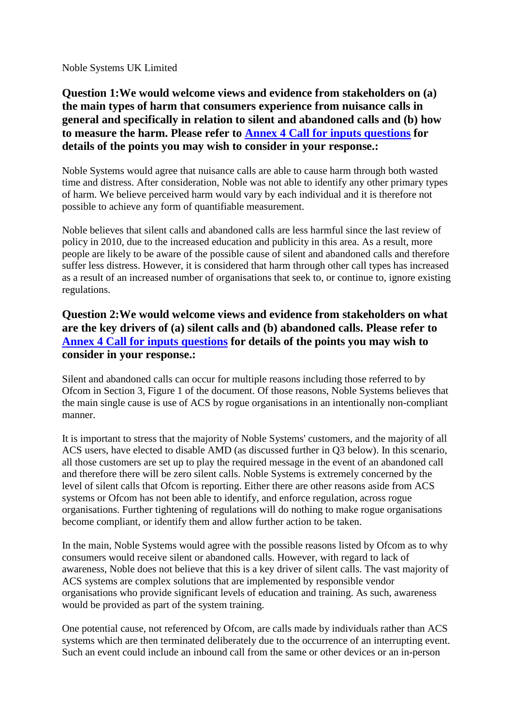Noble Systems UK Limited

# **Question 1:We would welcome views and evidence from stakeholders on (a) the main types of harm that consumers experience from nuisance calls in general and specifically in relation to silent and abandoned calls and (b) how to measure the harm. Please refer to Annex 4 Call for inputs questions for details of the points you may wish to consider in your response.:**

Noble Systems would agree that nuisance calls are able to cause harm through both wasted time and distress. After consideration, Noble was not able to identify any other primary types of harm. We believe perceived harm would vary by each individual and it is therefore not possible to achieve any form of quantifiable measurement.

Noble believes that silent calls and abandoned calls are less harmful since the last review of policy in 2010, due to the increased education and publicity in this area. As a result, more people are likely to be aware of the possible cause of silent and abandoned calls and therefore suffer less distress. However, it is considered that harm through other call types has increased as a result of an increased number of organisations that seek to, or continue to, ignore existing regulations.

# **Question 2:We would welcome views and evidence from stakeholders on what are the key drivers of (a) silent calls and (b) abandoned calls. Please refer to Annex 4 Call for inputs questions for details of the points you may wish to consider in your response.:**

Silent and abandoned calls can occur for multiple reasons including those referred to by Ofcom in Section 3, Figure 1 of the document. Of those reasons, Noble Systems believes that the main single cause is use of ACS by rogue organisations in an intentionally non-compliant manner.

It is important to stress that the majority of Noble Systems' customers, and the majority of all ACS users, have elected to disable AMD (as discussed further in Q3 below). In this scenario, all those customers are set up to play the required message in the event of an abandoned call and therefore there will be zero silent calls. Noble Systems is extremely concerned by the level of silent calls that Ofcom is reporting. Either there are other reasons aside from ACS systems or Ofcom has not been able to identify, and enforce regulation, across rogue organisations. Further tightening of regulations will do nothing to make rogue organisations become compliant, or identify them and allow further action to be taken.

In the main, Noble Systems would agree with the possible reasons listed by Ofcom as to why consumers would receive silent or abandoned calls. However, with regard to lack of awareness, Noble does not believe that this is a key driver of silent calls. The vast majority of ACS systems are complex solutions that are implemented by responsible vendor organisations who provide significant levels of education and training. As such, awareness would be provided as part of the system training.

One potential cause, not referenced by Ofcom, are calls made by individuals rather than ACS systems which are then terminated deliberately due to the occurrence of an interrupting event. Such an event could include an inbound call from the same or other devices or an in-person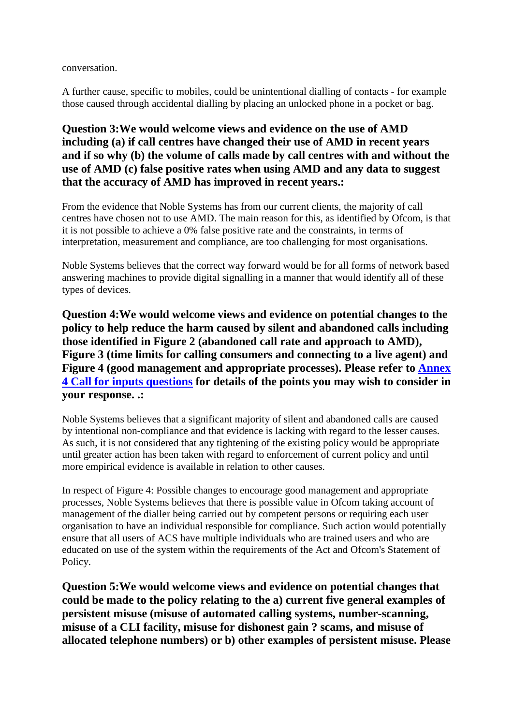conversation.

A further cause, specific to mobiles, could be unintentional dialling of contacts - for example those caused through accidental dialling by placing an unlocked phone in a pocket or bag.

# **Question 3:We would welcome views and evidence on the use of AMD including (a) if call centres have changed their use of AMD in recent years and if so why (b) the volume of calls made by call centres with and without the use of AMD (c) false positive rates when using AMD and any data to suggest that the accuracy of AMD has improved in recent years.:**

From the evidence that Noble Systems has from our current clients, the majority of call centres have chosen not to use AMD. The main reason for this, as identified by Ofcom, is that it is not possible to achieve a 0% false positive rate and the constraints, in terms of interpretation, measurement and compliance, are too challenging for most organisations.

Noble Systems believes that the correct way forward would be for all forms of network based answering machines to provide digital signalling in a manner that would identify all of these types of devices.

**Question 4:We would welcome views and evidence on potential changes to the policy to help reduce the harm caused by silent and abandoned calls including those identified in Figure 2 (abandoned call rate and approach to AMD), Figure 3 (time limits for calling consumers and connecting to a live agent) and Figure 4 (good management and appropriate processes). Please refer to Annex 4 Call for inputs questions for details of the points you may wish to consider in your response. .:**

Noble Systems believes that a significant majority of silent and abandoned calls are caused by intentional non-compliance and that evidence is lacking with regard to the lesser causes. As such, it is not considered that any tightening of the existing policy would be appropriate until greater action has been taken with regard to enforcement of current policy and until more empirical evidence is available in relation to other causes.

In respect of Figure 4: Possible changes to encourage good management and appropriate processes, Noble Systems believes that there is possible value in Ofcom taking account of management of the dialler being carried out by competent persons or requiring each user organisation to have an individual responsible for compliance. Such action would potentially ensure that all users of ACS have multiple individuals who are trained users and who are educated on use of the system within the requirements of the Act and Ofcom's Statement of Policy.

**Question 5:We would welcome views and evidence on potential changes that could be made to the policy relating to the a) current five general examples of persistent misuse (misuse of automated calling systems, number-scanning, misuse of a CLI facility, misuse for dishonest gain ? scams, and misuse of allocated telephone numbers) or b) other examples of persistent misuse. Please**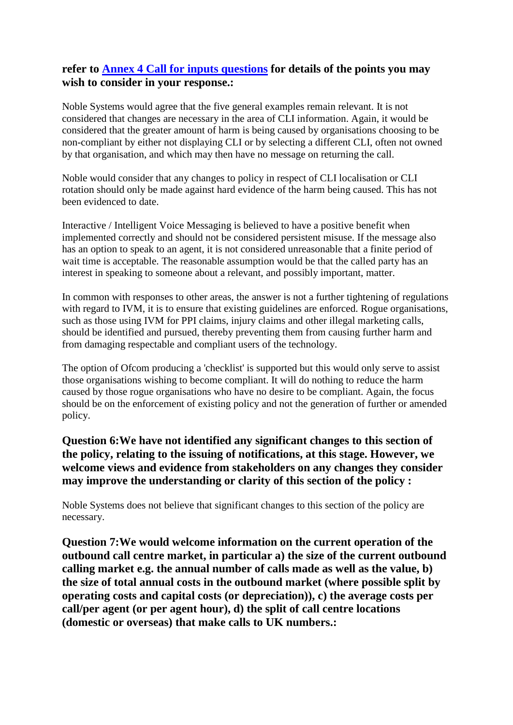### **refer to Annex 4 Call for inputs questions for details of the points you may wish to consider in your response.:**

Noble Systems would agree that the five general examples remain relevant. It is not considered that changes are necessary in the area of CLI information. Again, it would be considered that the greater amount of harm is being caused by organisations choosing to be non-compliant by either not displaying CLI or by selecting a different CLI, often not owned by that organisation, and which may then have no message on returning the call.

Noble would consider that any changes to policy in respect of CLI localisation or CLI rotation should only be made against hard evidence of the harm being caused. This has not been evidenced to date.

Interactive / Intelligent Voice Messaging is believed to have a positive benefit when implemented correctly and should not be considered persistent misuse. If the message also has an option to speak to an agent, it is not considered unreasonable that a finite period of wait time is acceptable. The reasonable assumption would be that the called party has an interest in speaking to someone about a relevant, and possibly important, matter.

In common with responses to other areas, the answer is not a further tightening of regulations with regard to IVM, it is to ensure that existing guidelines are enforced. Rogue organisations, such as those using IVM for PPI claims, injury claims and other illegal marketing calls, should be identified and pursued, thereby preventing them from causing further harm and from damaging respectable and compliant users of the technology.

The option of Ofcom producing a 'checklist' is supported but this would only serve to assist those organisations wishing to become compliant. It will do nothing to reduce the harm caused by those rogue organisations who have no desire to be compliant. Again, the focus should be on the enforcement of existing policy and not the generation of further or amended policy.

### **Question 6:We have not identified any significant changes to this section of the policy, relating to the issuing of notifications, at this stage. However, we welcome views and evidence from stakeholders on any changes they consider may improve the understanding or clarity of this section of the policy :**

Noble Systems does not believe that significant changes to this section of the policy are necessary.

**Question 7:We would welcome information on the current operation of the outbound call centre market, in particular a) the size of the current outbound calling market e.g. the annual number of calls made as well as the value, b) the size of total annual costs in the outbound market (where possible split by operating costs and capital costs (or depreciation)), c) the average costs per call/per agent (or per agent hour), d) the split of call centre locations (domestic or overseas) that make calls to UK numbers.:**